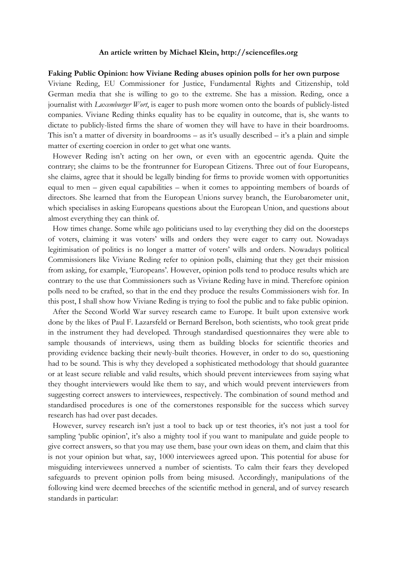#### **An article written by Michael Klein, http://sciencefiles.org**

#### **Faking Public Opinion: how Viviane Reding abuses opinion polls for her own purpose**

Viviane Reding, EU Commissioner for Justice, Fundamental Rights and Citizenship, told German media that she is willing to go to the extreme. She has a mission. Reding, once a journalist with *Luxemburger Wort*, is eager to push more women onto the boards of publicly-listed companies. Viviane Reding thinks equality has to be equality in outcome, that is, she wants to dictate to publicly-listed firms the share of women they will have to have in their boardrooms. This isn't a matter of diversity in boardrooms – as it's usually described – it's a plain and simple matter of exerting coercion in order to get what one wants.

However Reding isn't acting on her own, or even with an egocentric agenda. Quite the contrary; she claims to be the frontrunner for European Citizens. Three out of four Europeans, she claims, agree that it should be legally binding for firms to provide women with opportunities equal to men – given equal capabilities – when it comes to appointing members of boards of directors. She learned that from the European Unions survey branch, the Eurobarometer unit, which specialises in asking Europeans questions about the European Union, and questions about almost everything they can think of.

How times change. Some while ago politicians used to lay everything they did on the doorsteps of voters, claiming it was voters' wills and orders they were eager to carry out. Nowadays legitimisation of politics is no longer a matter of voters' wills and orders. Nowadays political Commissioners like Viviane Reding refer to opinion polls, claiming that they get their mission from asking, for example, 'Europeans'. However, opinion polls tend to produce results which are contrary to the use that Commissioners such as Viviane Reding have in mind. Therefore opinion polls need to be crafted, so that in the end they produce the results Commissioners wish for. In this post, I shall show how Viviane Reding is trying to fool the public and to fake public opinion.

After the Second World War survey research came to Europe. It built upon extensive work done by the likes of Paul F. Lazarsfeld or Bernard Berelson, both scientists, who took great pride in the instrument they had developed. Through standardised questionnaires they were able to sample thousands of interviews, using them as building blocks for scientific theories and providing evidence backing their newly-built theories. However, in order to do so, questioning had to be sound. This is why they developed a sophisticated methodology that should guarantee or at least secure reliable and valid results, which should prevent interviewees from saying what they thought interviewers would like them to say, and which would prevent interviewers from suggesting correct answers to interviewees, respectively. The combination of sound method and standardised procedures is one of the cornerstones responsible for the success which survey research has had over past decades.

However, survey research isn't just a tool to back up or test theories, it's not just a tool for sampling 'public opinion', it's also a mighty tool if you want to manipulate and guide people to give correct answers, so that you may use them, base your own ideas on them, and claim that this is not your opinion but what, say, 1000 interviewees agreed upon. This potential for abuse for misguiding interviewees unnerved a number of scientists. To calm their fears they developed safeguards to prevent opinion polls from being misused. Accordingly, manipulations of the following kind were deemed breeches of the scientific method in general, and of survey research standards in particular: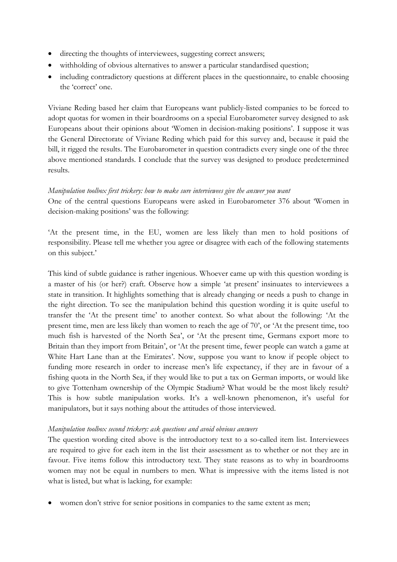- directing the thoughts of interviewees, suggesting correct answers;
- withholding of obvious alternatives to answer a particular standardised question;
- including contradictory questions at different places in the questionnaire, to enable choosing the 'correct' one.

Viviane Reding based her claim that Europeans want publicly-listed companies to be forced to adopt quotas for women in their boardrooms on a special Eurobarometer survey designed to ask Europeans about their opinions about 'Women in decision-making positions'. I suppose it was the General Directorate of Viviane Reding which paid for this survey and, because it paid the bill, it rigged the results. The Eurobarometer in question contradicts every single one of the three above mentioned standards. I conclude that the survey was designed to produce predetermined results.

## *Manipulation toolbox first trickery: how to make sure interviewees give the answer you want*

One of the central questions Europeans were asked in Eurobarometer 376 about 'Women in decision-making positions' was the following:

'At the present time, in the EU, women are less likely than men to hold positions of responsibility. Please tell me whether you agree or disagree with each of the following statements on this subject.'

This kind of subtle guidance is rather ingenious. Whoever came up with this question wording is a master of his (or her?) craft. Observe how a simple 'at present' insinuates to interviewees a state in transition. It highlights something that is already changing or needs a push to change in the right direction. To see the manipulation behind this question wording it is quite useful to transfer the 'At the present time' to another context. So what about the following: 'At the present time, men are less likely than women to reach the age of 70', or 'At the present time, too much fish is harvested of the North Sea', or 'At the present time, Germans export more to Britain than they import from Britain', or 'At the present time, fewer people can watch a game at White Hart Lane than at the Emirates'. Now, suppose you want to know if people object to funding more research in order to increase men's life expectancy, if they are in favour of a fishing quota in the North Sea, if they would like to put a tax on German imports, or would like to give Tottenham ownership of the Olympic Stadium? What would be the most likely result? This is how subtle manipulation works. It's a well-known phenomenon, it's useful for manipulators, but it says nothing about the attitudes of those interviewed.

## *Manipulation toolbox second trickery: ask questions and avoid obvious answers*

The question wording cited above is the introductory text to a so-called item list. Interviewees are required to give for each item in the list their assessment as to whether or not they are in favour. Five items follow this introductory text. They state reasons as to why in boardrooms women may not be equal in numbers to men. What is impressive with the items listed is not what is listed, but what is lacking, for example:

women don't strive for senior positions in companies to the same extent as men;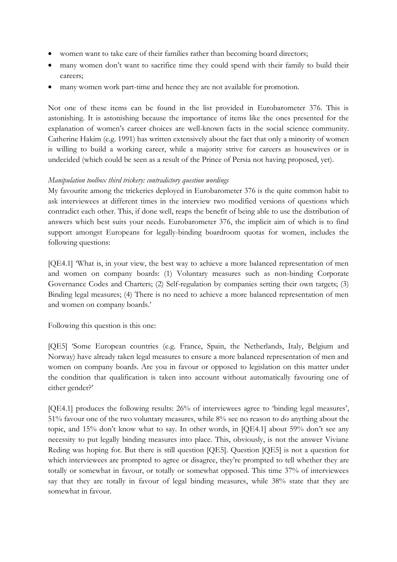- women want to take care of their families rather than becoming board directors;
- many women don't want to sacrifice time they could spend with their family to build their careers;
- many women work part-time and hence they are not available for promotion.

Not one of these items can be found in the list provided in Eurobarometer 376. This is astonishing. It is astonishing because the importance of items like the ones presented for the explanation of women's career choices are well-known facts in the social science community. Catherine Hakim (e.g. 1991) has written extensively about the fact that only a minority of women is willing to build a working career, while a majority strive for careers as housewives or is undecided (which could be seen as a result of the Prince of Persia not having proposed, yet).

# *Manipulation toolbox third trickery: contradictory question wordings*

My favourite among the trickeries deployed in Eurobarometer 376 is the quite common habit to ask interviewees at different times in the interview two modified versions of questions which contradict each other. This, if done well, reaps the benefit of being able to use the distribution of answers which best suits your needs. Eurobarometer 376, the implicit aim of which is to find support amongst Europeans for legally-binding boardroom quotas for women, includes the following questions:

[QE4.1] 'What is, in your view, the best way to achieve a more balanced representation of men and women on company boards: (1) Voluntary measures such as non-binding Corporate Governance Codes and Charters; (2) Self-regulation by companies setting their own targets; (3) Binding legal measures; (4) There is no need to achieve a more balanced representation of men and women on company boards.'

Following this question is this one:

[QE5] 'Some European countries (e.g. France, Spain, the Netherlands, Italy, Belgium and Norway) have already taken legal measures to ensure a more balanced representation of men and women on company boards. Are you in favour or opposed to legislation on this matter under the condition that qualification is taken into account without automatically favouring one of either gender?'

[QE4.1] produces the following results: 26% of interviewees agree to 'binding legal measures', 51% favour one of the two voluntary measures, while 8% see no reason to do anything about the topic, and 15% don't know what to say. In other words, in [QE4.1] about 59% don't see any necessity to put legally binding measures into place. This, obviously, is not the answer Viviane Reding was hoping for. But there is still question [QE5]. Question [QE5] is not a question for which interviewees are prompted to agree or disagree, they're prompted to tell whether they are totally or somewhat in favour, or totally or somewhat opposed. This time 37% of interviewees say that they are totally in favour of legal binding measures, while 38% state that they are somewhat in favour.